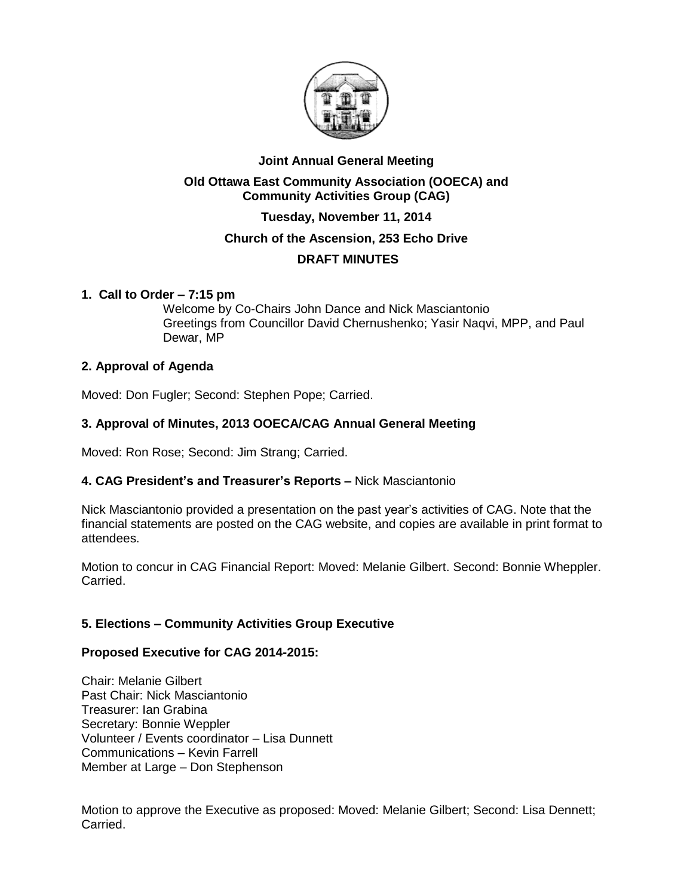

# **Joint Annual General Meeting**

### **Old Ottawa East Community Association (OOECA) and Community Activities Group (CAG)**

# **Tuesday, November 11, 2014**

# **Church of the Ascension, 253 Echo Drive**

# **DRAFT MINUTES**

### **1. Call to Order – 7:15 pm**

Welcome by Co-Chairs John Dance and Nick Masciantonio Greetings from Councillor David Chernushenko; Yasir Naqvi, MPP, and Paul Dewar, MP

# **2. Approval of Agenda**

Moved: Don Fugler; Second: Stephen Pope; Carried.

# **3. Approval of Minutes, 2013 OOECA/CAG Annual General Meeting**

Moved: Ron Rose; Second: Jim Strang; Carried.

### **4. CAG President's and Treasurer's Reports –** Nick Masciantonio

Nick Masciantonio provided a presentation on the past year's activities of CAG. Note that the financial statements are posted on the CAG website, and copies are available in print format to attendees.

Motion to concur in CAG Financial Report: Moved: Melanie Gilbert. Second: Bonnie Wheppler. Carried.

# **5. Elections – Community Activities Group Executive**

### **Proposed Executive for CAG 2014-2015:**

Chair: Melanie Gilbert Past Chair: Nick Masciantonio Treasurer: Ian Grabina Secretary: Bonnie Weppler Volunteer / Events coordinator – Lisa Dunnett Communications – Kevin Farrell Member at Large – Don Stephenson

Motion to approve the Executive as proposed: Moved: Melanie Gilbert; Second: Lisa Dennett; Carried.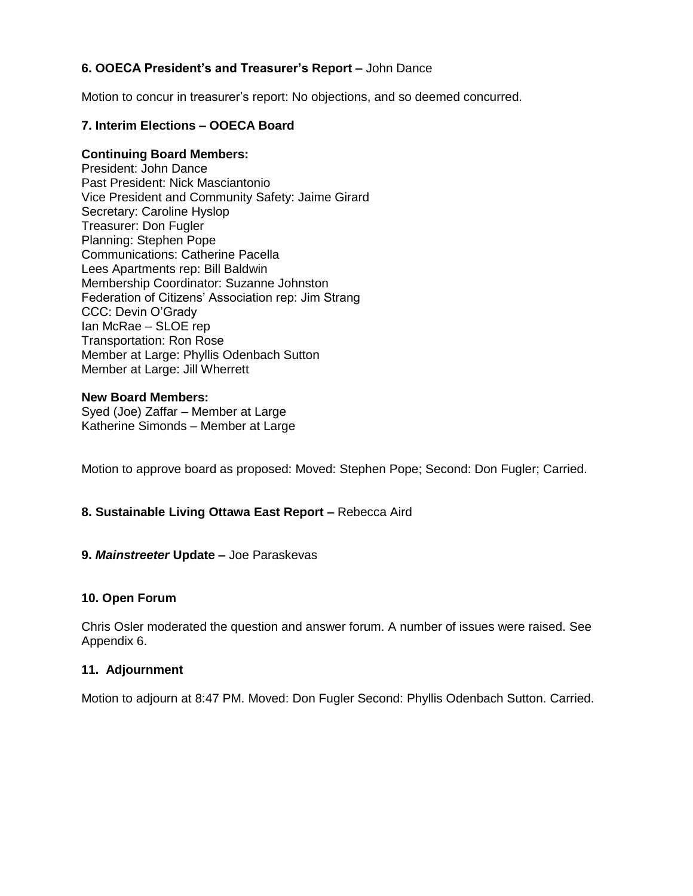# **6. OOECA President's and Treasurer's Report –** John Dance

Motion to concur in treasurer's report: No objections, and so deemed concurred.

### **7. Interim Elections – OOECA Board**

#### **Continuing Board Members:**

President: John Dance Past President: Nick Masciantonio Vice President and Community Safety: Jaime Girard Secretary: Caroline Hyslop Treasurer: Don Fugler Planning: Stephen Pope Communications: Catherine Pacella Lees Apartments rep: Bill Baldwin Membership Coordinator: Suzanne Johnston Federation of Citizens' Association rep: Jim Strang CCC: Devin O'Grady Ian McRae – SLOE rep Transportation: Ron Rose Member at Large: Phyllis Odenbach Sutton Member at Large: Jill Wherrett

# **New Board Members:**

Syed (Joe) Zaffar – Member at Large Katherine Simonds – Member at Large

Motion to approve board as proposed: Moved: Stephen Pope; Second: Don Fugler; Carried.

### **8. Sustainable Living Ottawa East Report –** Rebecca Aird

#### **9.** *Mainstreeter* **Update –** Joe Paraskevas

#### **10. Open Forum**

Chris Osler moderated the question and answer forum. A number of issues were raised. See Appendix 6.

#### **11. Adjournment**

Motion to adjourn at 8:47 PM. Moved: Don Fugler Second: Phyllis Odenbach Sutton. Carried.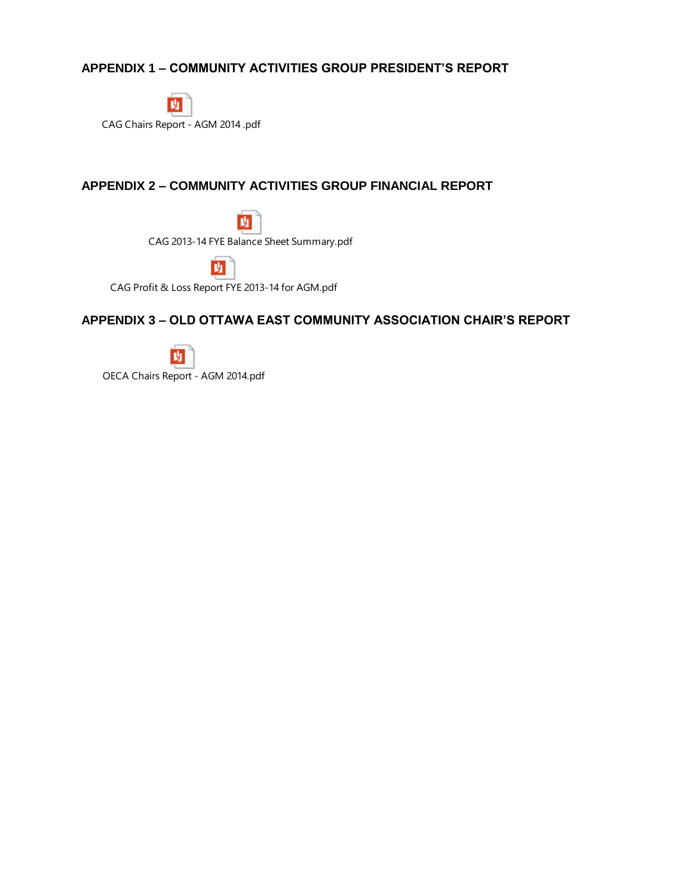# **APPENDIX 1 – COMMUNITY ACTIVITIES GROUP PRESIDENT'S REPORT**



# **APPENDIX 2 – COMMUNITY ACTIVITIES GROUP FINANCIAL REPORT**

M CAG 2013-14 FYE Balance Sheet Summary.pdf

班

CAG Profit & Loss Report FYE 2013-14 for AGM.pdf

# **APPENDIX 3 – OLD OTTAWA EAST COMMUNITY ASSOCIATION CHAIR'S REPORT**



OECA Chairs Report - AGM 2014.pdf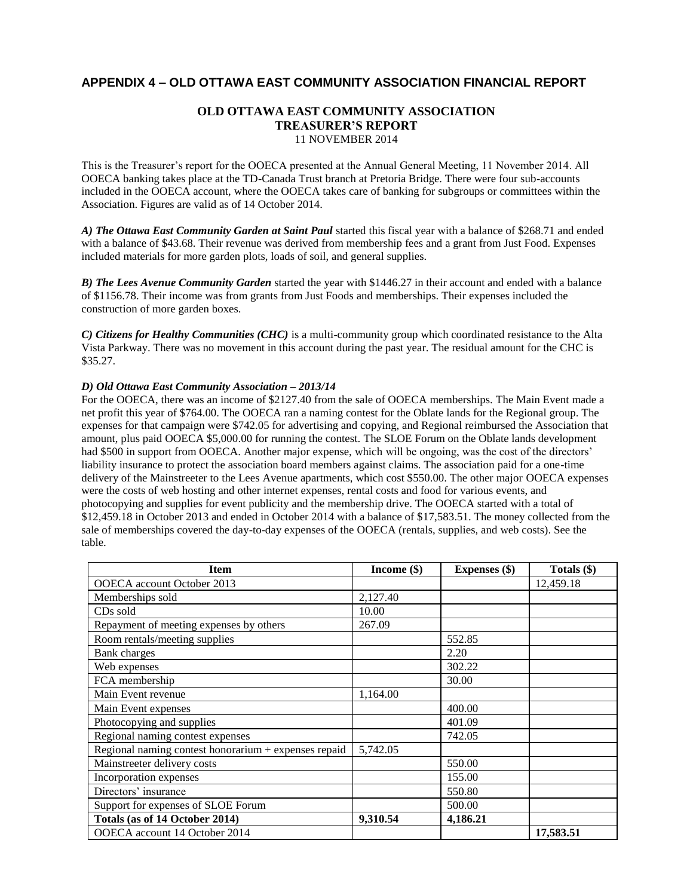#### **APPENDIX 4 – OLD OTTAWA EAST COMMUNITY ASSOCIATION FINANCIAL REPORT**

#### **OLD OTTAWA EAST COMMUNITY ASSOCIATION TREASURER'S REPORT**  11 NOVEMBER 2014

This is the Treasurer's report for the OOECA presented at the Annual General Meeting, 11 November 2014. All OOECA banking takes place at the TD-Canada Trust branch at Pretoria Bridge. There were four sub-accounts included in the OOECA account, where the OOECA takes care of banking for subgroups or committees within the Association. Figures are valid as of 14 October 2014.

*A) The Ottawa East Community Garden at Saint Paul* started this fiscal year with a balance of \$268.71 and ended with a balance of \$43.68. Their revenue was derived from membership fees and a grant from Just Food. Expenses included materials for more garden plots, loads of soil, and general supplies.

*B) The Lees Avenue Community Garden* started the year with \$1446.27 in their account and ended with a balance of \$1156.78. Their income was from grants from Just Foods and memberships. Their expenses included the construction of more garden boxes.

*C) Citizens for Healthy Communities (CHC)* is a multi-community group which coordinated resistance to the Alta Vista Parkway. There was no movement in this account during the past year. The residual amount for the CHC is \$35.27.

#### *D) Old Ottawa East Community Association – 2013/14*

For the OOECA, there was an income of \$2127.40 from the sale of OOECA memberships. The Main Event made a net profit this year of \$764.00. The OOECA ran a naming contest for the Oblate lands for the Regional group. The expenses for that campaign were \$742.05 for advertising and copying, and Regional reimbursed the Association that amount, plus paid OOECA \$5,000.00 for running the contest. The SLOE Forum on the Oblate lands development had \$500 in support from OOECA. Another major expense, which will be ongoing, was the cost of the directors' liability insurance to protect the association board members against claims. The association paid for a one-time delivery of the Mainstreeter to the Lees Avenue apartments, which cost \$550.00. The other major OOECA expenses were the costs of web hosting and other internet expenses, rental costs and food for various events, and photocopying and supplies for event publicity and the membership drive. The OOECA started with a total of \$12,459.18 in October 2013 and ended in October 2014 with a balance of \$17,583.51. The money collected from the sale of memberships covered the day-to-day expenses of the OOECA (rentals, supplies, and web costs). See the table.

| <b>Item</b>                                          | Income $(\$)$ | <b>Expenses</b> (\$) | Totals (\$) |
|------------------------------------------------------|---------------|----------------------|-------------|
| OOECA account October 2013                           |               |                      | 12,459.18   |
| Memberships sold                                     | 2,127.40      |                      |             |
| CDs sold                                             | 10.00         |                      |             |
| Repayment of meeting expenses by others              | 267.09        |                      |             |
| Room rentals/meeting supplies                        |               | 552.85               |             |
| <b>Bank</b> charges                                  |               | 2.20                 |             |
| Web expenses                                         |               | 302.22               |             |
| FCA membership                                       |               | 30.00                |             |
| Main Event revenue                                   | 1,164.00      |                      |             |
| Main Event expenses                                  |               | 400.00               |             |
| Photocopying and supplies                            |               | 401.09               |             |
| Regional naming contest expenses                     |               | 742.05               |             |
| Regional naming contest honorarium + expenses repaid | 5,742.05      |                      |             |
| Mainstreeter delivery costs                          |               | 550.00               |             |
| Incorporation expenses                               |               | 155.00               |             |
| Directors' insurance                                 |               | 550.80               |             |
| Support for expenses of SLOE Forum                   |               | 500.00               |             |
| Totals (as of 14 October 2014)                       | 9,310.54      | 4,186.21             |             |
| OOECA account 14 October 2014                        |               |                      | 17,583.51   |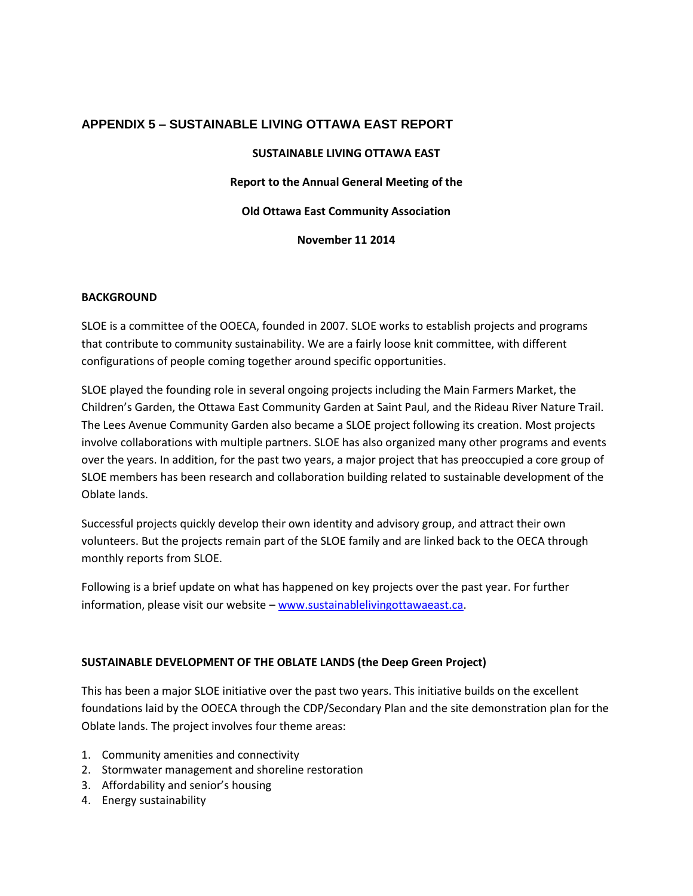### **APPENDIX 5 – SUSTAINABLE LIVING OTTAWA EAST REPORT**

#### **SUSTAINABLE LIVING OTTAWA EAST**

**Report to the Annual General Meeting of the**

**Old Ottawa East Community Association**

**November 11 2014**

#### **BACKGROUND**

SLOE is a committee of the OOECA, founded in 2007. SLOE works to establish projects and programs that contribute to community sustainability. We are a fairly loose knit committee, with different configurations of people coming together around specific opportunities.

SLOE played the founding role in several ongoing projects including the Main Farmers Market, the Children's Garden, the Ottawa East Community Garden at Saint Paul, and the Rideau River Nature Trail. The Lees Avenue Community Garden also became a SLOE project following its creation. Most projects involve collaborations with multiple partners. SLOE has also organized many other programs and events over the years. In addition, for the past two years, a major project that has preoccupied a core group of SLOE members has been research and collaboration building related to sustainable development of the Oblate lands.

Successful projects quickly develop their own identity and advisory group, and attract their own volunteers. But the projects remain part of the SLOE family and are linked back to the OECA through monthly reports from SLOE.

Following is a brief update on what has happened on key projects over the past year. For further information, please visit our website – [www.sustainablelivingottawaeast.ca.](http://www.sustainablelivingottawaeast.ca/)

#### **SUSTAINABLE DEVELOPMENT OF THE OBLATE LANDS (the Deep Green Project)**

This has been a major SLOE initiative over the past two years. This initiative builds on the excellent foundations laid by the OOECA through the CDP/Secondary Plan and the site demonstration plan for the Oblate lands. The project involves four theme areas:

- 1. Community amenities and connectivity
- 2. Stormwater management and shoreline restoration
- 3. Affordability and senior's housing
- 4. Energy sustainability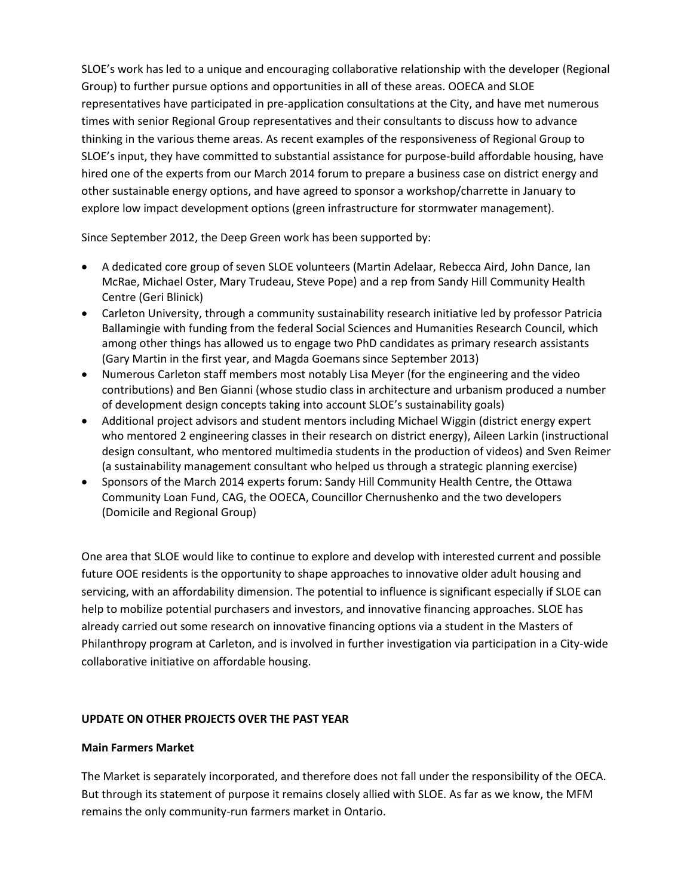SLOE's work has led to a unique and encouraging collaborative relationship with the developer (Regional Group) to further pursue options and opportunities in all of these areas. OOECA and SLOE representatives have participated in pre-application consultations at the City, and have met numerous times with senior Regional Group representatives and their consultants to discuss how to advance thinking in the various theme areas. As recent examples of the responsiveness of Regional Group to SLOE's input, they have committed to substantial assistance for purpose-build affordable housing, have hired one of the experts from our March 2014 forum to prepare a business case on district energy and other sustainable energy options, and have agreed to sponsor a workshop/charrette in January to explore low impact development options (green infrastructure for stormwater management).

Since September 2012, the Deep Green work has been supported by:

- A dedicated core group of seven SLOE volunteers (Martin Adelaar, Rebecca Aird, John Dance, Ian McRae, Michael Oster, Mary Trudeau, Steve Pope) and a rep from Sandy Hill Community Health Centre (Geri Blinick)
- Carleton University, through a community sustainability research initiative led by professor Patricia Ballamingie with funding from the federal Social Sciences and Humanities Research Council, which among other things has allowed us to engage two PhD candidates as primary research assistants (Gary Martin in the first year, and Magda Goemans since September 2013)
- Numerous Carleton staff members most notably Lisa Meyer (for the engineering and the video contributions) and Ben Gianni (whose studio class in architecture and urbanism produced a number of development design concepts taking into account SLOE's sustainability goals)
- Additional project advisors and student mentors including Michael Wiggin (district energy expert who mentored 2 engineering classes in their research on district energy), Aileen Larkin (instructional design consultant, who mentored multimedia students in the production of videos) and Sven Reimer (a sustainability management consultant who helped us through a strategic planning exercise)
- Sponsors of the March 2014 experts forum: Sandy Hill Community Health Centre, the Ottawa Community Loan Fund, CAG, the OOECA, Councillor Chernushenko and the two developers (Domicile and Regional Group)

One area that SLOE would like to continue to explore and develop with interested current and possible future OOE residents is the opportunity to shape approaches to innovative older adult housing and servicing, with an affordability dimension. The potential to influence is significant especially if SLOE can help to mobilize potential purchasers and investors, and innovative financing approaches. SLOE has already carried out some research on innovative financing options via a student in the Masters of Philanthropy program at Carleton, and is involved in further investigation via participation in a City-wide collaborative initiative on affordable housing.

### **UPDATE ON OTHER PROJECTS OVER THE PAST YEAR**

#### **Main Farmers Market**

The Market is separately incorporated, and therefore does not fall under the responsibility of the OECA. But through its statement of purpose it remains closely allied with SLOE. As far as we know, the MFM remains the only community-run farmers market in Ontario.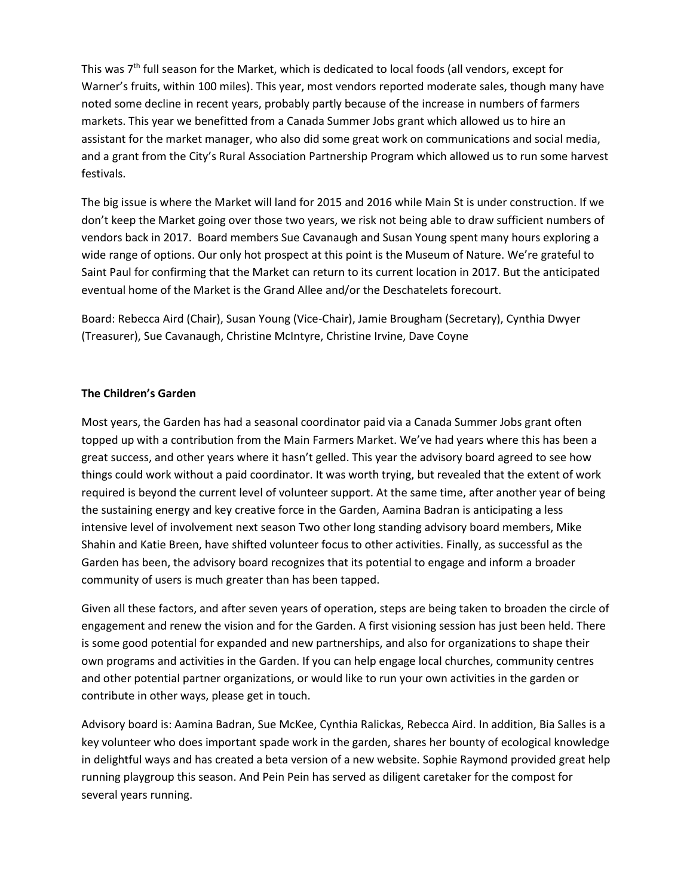This was  $7<sup>th</sup>$  full season for the Market, which is dedicated to local foods (all vendors, except for Warner's fruits, within 100 miles). This year, most vendors reported moderate sales, though many have noted some decline in recent years, probably partly because of the increase in numbers of farmers markets. This year we benefitted from a Canada Summer Jobs grant which allowed us to hire an assistant for the market manager, who also did some great work on communications and social media, and a grant from the City's Rural Association Partnership Program which allowed us to run some harvest festivals.

The big issue is where the Market will land for 2015 and 2016 while Main St is under construction. If we don't keep the Market going over those two years, we risk not being able to draw sufficient numbers of vendors back in 2017. Board members Sue Cavanaugh and Susan Young spent many hours exploring a wide range of options. Our only hot prospect at this point is the Museum of Nature. We're grateful to Saint Paul for confirming that the Market can return to its current location in 2017. But the anticipated eventual home of the Market is the Grand Allee and/or the Deschatelets forecourt.

Board: Rebecca Aird (Chair), Susan Young (Vice-Chair), Jamie Brougham (Secretary), Cynthia Dwyer (Treasurer), Sue Cavanaugh, Christine McIntyre, Christine Irvine, Dave Coyne

#### **The Children's Garden**

Most years, the Garden has had a seasonal coordinator paid via a Canada Summer Jobs grant often topped up with a contribution from the Main Farmers Market. We've had years where this has been a great success, and other years where it hasn't gelled. This year the advisory board agreed to see how things could work without a paid coordinator. It was worth trying, but revealed that the extent of work required is beyond the current level of volunteer support. At the same time, after another year of being the sustaining energy and key creative force in the Garden, Aamina Badran is anticipating a less intensive level of involvement next season Two other long standing advisory board members, Mike Shahin and Katie Breen, have shifted volunteer focus to other activities. Finally, as successful as the Garden has been, the advisory board recognizes that its potential to engage and inform a broader community of users is much greater than has been tapped.

Given all these factors, and after seven years of operation, steps are being taken to broaden the circle of engagement and renew the vision and for the Garden. A first visioning session has just been held. There is some good potential for expanded and new partnerships, and also for organizations to shape their own programs and activities in the Garden. If you can help engage local churches, community centres and other potential partner organizations, or would like to run your own activities in the garden or contribute in other ways, please get in touch.

Advisory board is: Aamina Badran, Sue McKee, Cynthia Ralickas, Rebecca Aird. In addition, Bia Salles is a key volunteer who does important spade work in the garden, shares her bounty of ecological knowledge in delightful ways and has created a beta version of a new website. Sophie Raymond provided great help running playgroup this season. And Pein Pein has served as diligent caretaker for the compost for several years running.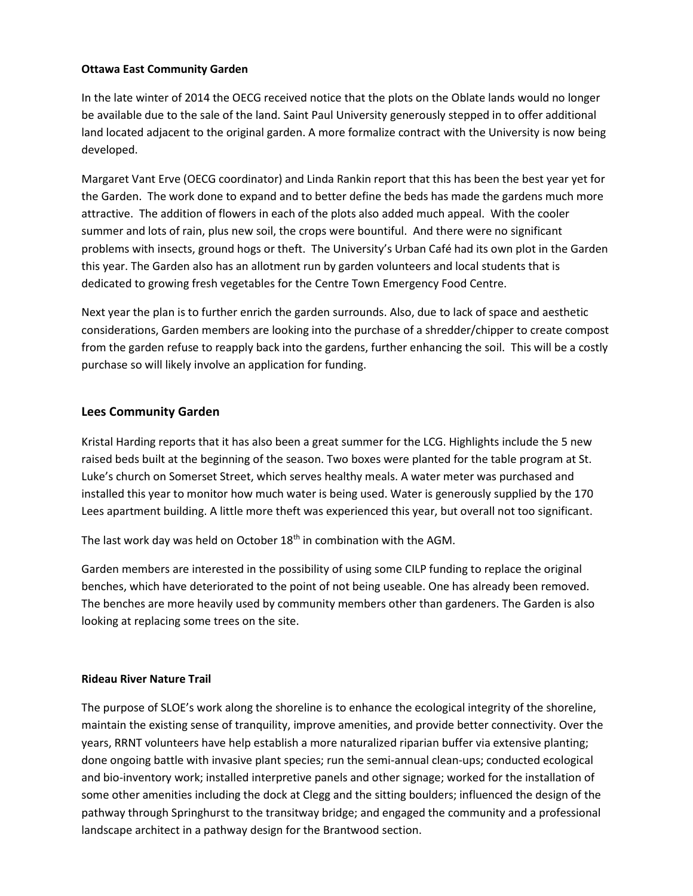#### **Ottawa East Community Garden**

In the late winter of 2014 the OECG received notice that the plots on the Oblate lands would no longer be available due to the sale of the land. Saint Paul University generously stepped in to offer additional land located adjacent to the original garden. A more formalize contract with the University is now being developed.

Margaret Vant Erve (OECG coordinator) and Linda Rankin report that this has been the best year yet for the Garden. The work done to expand and to better define the beds has made the gardens much more attractive. The addition of flowers in each of the plots also added much appeal. With the cooler summer and lots of rain, plus new soil, the crops were bountiful. And there were no significant problems with insects, ground hogs or theft. The University's Urban Café had its own plot in the Garden this year. The Garden also has an allotment run by garden volunteers and local students that is dedicated to growing fresh vegetables for the Centre Town Emergency Food Centre.

Next year the plan is to further enrich the garden surrounds. Also, due to lack of space and aesthetic considerations, Garden members are looking into the purchase of a shredder/chipper to create compost from the garden refuse to reapply back into the gardens, further enhancing the soil. This will be a costly purchase so will likely involve an application for funding.

### **Lees Community Garden**

Kristal Harding reports that it has also been a great summer for the LCG. Highlights include the 5 new raised beds built at the beginning of the season. Two boxes were planted for the table program at St. Luke's church on Somerset Street, which serves healthy meals. A water meter was purchased and installed this year to monitor how much water is being used. Water is generously supplied by the 170 Lees apartment building. A little more theft was experienced this year, but overall not too significant.

The last work day was held on October  $18<sup>th</sup>$  in combination with the AGM.

Garden members are interested in the possibility of using some CILP funding to replace the original benches, which have deteriorated to the point of not being useable. One has already been removed. The benches are more heavily used by community members other than gardeners. The Garden is also looking at replacing some trees on the site.

#### **Rideau River Nature Trail**

The purpose of SLOE's work along the shoreline is to enhance the ecological integrity of the shoreline, maintain the existing sense of tranquility, improve amenities, and provide better connectivity. Over the years, RRNT volunteers have help establish a more naturalized riparian buffer via extensive planting; done ongoing battle with invasive plant species; run the semi-annual clean-ups; conducted ecological and bio-inventory work; installed interpretive panels and other signage; worked for the installation of some other amenities including the dock at Clegg and the sitting boulders; influenced the design of the pathway through Springhurst to the transitway bridge; and engaged the community and a professional landscape architect in a pathway design for the Brantwood section.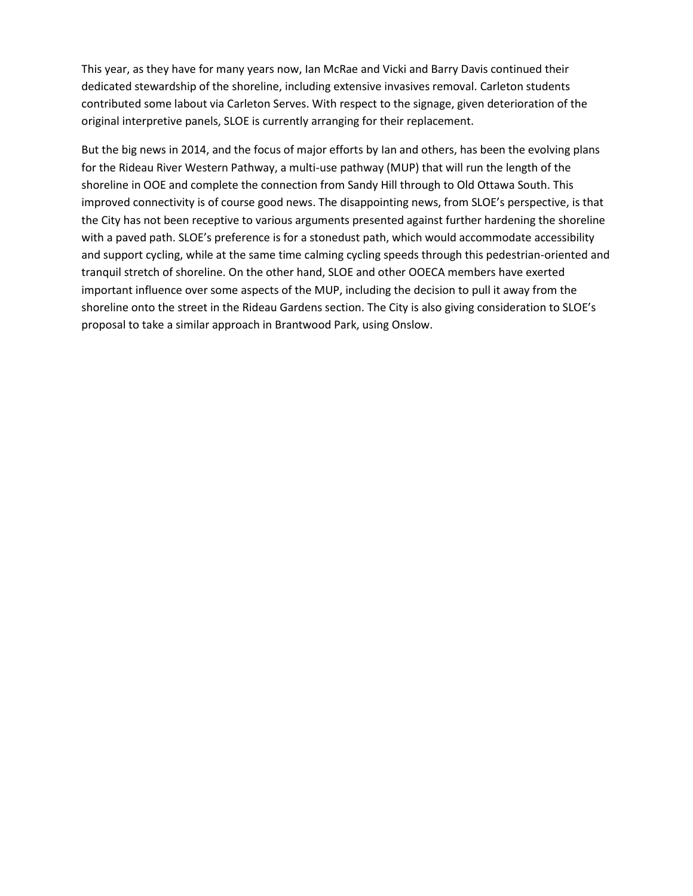This year, as they have for many years now, Ian McRae and Vicki and Barry Davis continued their dedicated stewardship of the shoreline, including extensive invasives removal. Carleton students contributed some labout via Carleton Serves. With respect to the signage, given deterioration of the original interpretive panels, SLOE is currently arranging for their replacement.

But the big news in 2014, and the focus of major efforts by Ian and others, has been the evolving plans for the Rideau River Western Pathway, a multi-use pathway (MUP) that will run the length of the shoreline in OOE and complete the connection from Sandy Hill through to Old Ottawa South. This improved connectivity is of course good news. The disappointing news, from SLOE's perspective, is that the City has not been receptive to various arguments presented against further hardening the shoreline with a paved path. SLOE's preference is for a stonedust path, which would accommodate accessibility and support cycling, while at the same time calming cycling speeds through this pedestrian-oriented and tranquil stretch of shoreline. On the other hand, SLOE and other OOECA members have exerted important influence over some aspects of the MUP, including the decision to pull it away from the shoreline onto the street in the Rideau Gardens section. The City is also giving consideration to SLOE's proposal to take a similar approach in Brantwood Park, using Onslow.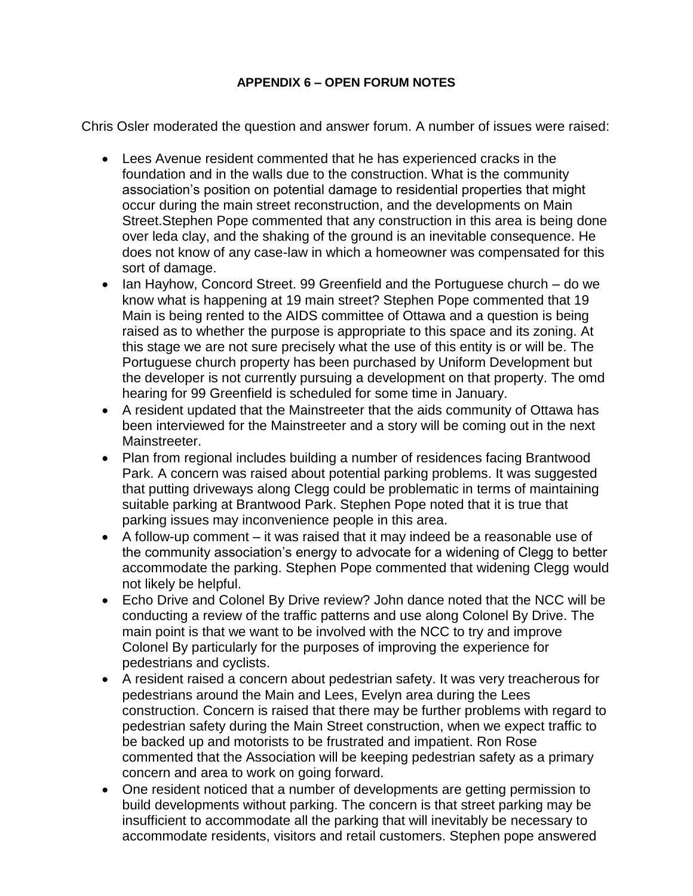# **APPENDIX 6 – OPEN FORUM NOTES**

Chris Osler moderated the question and answer forum. A number of issues were raised:

- Lees Avenue resident commented that he has experienced cracks in the foundation and in the walls due to the construction. What is the community association's position on potential damage to residential properties that might occur during the main street reconstruction, and the developments on Main Street.Stephen Pope commented that any construction in this area is being done over leda clay, and the shaking of the ground is an inevitable consequence. He does not know of any case-law in which a homeowner was compensated for this sort of damage.
- Ian Hayhow, Concord Street. 99 Greenfield and the Portuguese church do we know what is happening at 19 main street? Stephen Pope commented that 19 Main is being rented to the AIDS committee of Ottawa and a question is being raised as to whether the purpose is appropriate to this space and its zoning. At this stage we are not sure precisely what the use of this entity is or will be. The Portuguese church property has been purchased by Uniform Development but the developer is not currently pursuing a development on that property. The omd hearing for 99 Greenfield is scheduled for some time in January.
- A resident updated that the Mainstreeter that the aids community of Ottawa has been interviewed for the Mainstreeter and a story will be coming out in the next Mainstreeter.
- Plan from regional includes building a number of residences facing Brantwood Park. A concern was raised about potential parking problems. It was suggested that putting driveways along Clegg could be problematic in terms of maintaining suitable parking at Brantwood Park. Stephen Pope noted that it is true that parking issues may inconvenience people in this area.
- A follow-up comment it was raised that it may indeed be a reasonable use of the community association's energy to advocate for a widening of Clegg to better accommodate the parking. Stephen Pope commented that widening Clegg would not likely be helpful.
- Echo Drive and Colonel By Drive review? John dance noted that the NCC will be conducting a review of the traffic patterns and use along Colonel By Drive. The main point is that we want to be involved with the NCC to try and improve Colonel By particularly for the purposes of improving the experience for pedestrians and cyclists.
- A resident raised a concern about pedestrian safety. It was very treacherous for pedestrians around the Main and Lees, Evelyn area during the Lees construction. Concern is raised that there may be further problems with regard to pedestrian safety during the Main Street construction, when we expect traffic to be backed up and motorists to be frustrated and impatient. Ron Rose commented that the Association will be keeping pedestrian safety as a primary concern and area to work on going forward.
- One resident noticed that a number of developments are getting permission to build developments without parking. The concern is that street parking may be insufficient to accommodate all the parking that will inevitably be necessary to accommodate residents, visitors and retail customers. Stephen pope answered